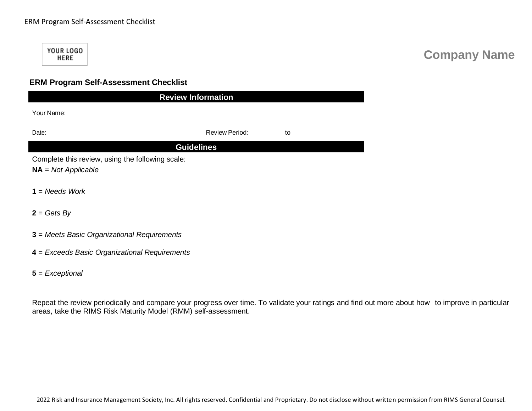## ERM Program Self-Assessment Checklist

YOUR LOGO **HERE** 

## **Company Name**

## **ERM Program Self-Assessment Checklist**

| <b>Review Information</b>                        |                             |  |  |  |  |  |
|--------------------------------------------------|-----------------------------|--|--|--|--|--|
| Your Name:                                       |                             |  |  |  |  |  |
| Date:                                            | <b>Review Period:</b><br>to |  |  |  |  |  |
| <b>Guidelines</b>                                |                             |  |  |  |  |  |
| Complete this review, using the following scale: |                             |  |  |  |  |  |
| $NA = Not Applicable$                            |                             |  |  |  |  |  |
| $1 = N$ eeds Work                                |                             |  |  |  |  |  |
| $2 = Gets By$                                    |                             |  |  |  |  |  |
|                                                  |                             |  |  |  |  |  |
| 3 = Meets Basic Organizational Requirements      |                             |  |  |  |  |  |

**4** = *Exceeds Basic Organizational Requirements*

**5** = *Exceptional*

Repeat the review periodically and compare your progress over time. To validate your ratings and find out more about how to improve in particular areas, take the RIMS Risk Maturity Model (RMM) self-assessment.